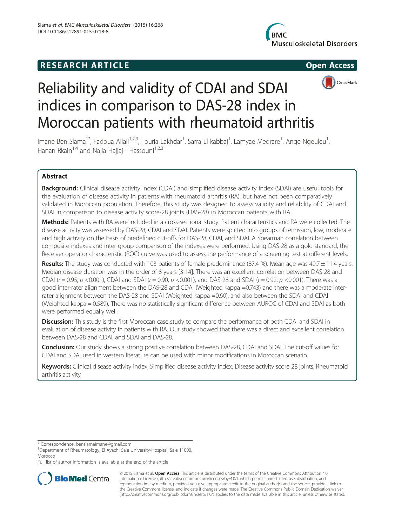# **RESEARCH ARTICLE Example 2014 12:30 The SEAR CHA RTICLE**

**Musculoskeletal Disorders** 





# Reliability and validity of CDAI and SDAI indices in comparison to DAS-28 index in Moroccan patients with rheumatoid arthritis

Imane Ben Slama<sup>1\*</sup>, Fadoua Allali<sup>1,2,3</sup>, Touria Lakhdar<sup>1</sup>, Sarra El kabbaj<sup>1</sup>, Lamyae Medrare<sup>1</sup>, Ange Ngeuleu<sup>1</sup> , Hanan Rkain<sup>1,4</sup> and Najia Hajjaj - Hassouni<sup>1,2,3</sup>

# Abstract

**Background:** Clinical disease activity index (CDAI) and simplified disease activity index (SDAI) are useful tools for the evaluation of disease activity in patients with rheumatoid arthritis (RA), but have not been comparatively validated in Moroccan population. Therefore, this study was designed to assess validity and reliability of CDAI and SDAI in comparison to disease activity score-28 joints (DAS-28) in Moroccan patients with RA.

Methods: Patients with RA were included in a cross-sectional study. Patient characteristics and RA were collected. The disease activity was assessed by DAS-28, CDAI and SDAI. Patients were splitted into groups of remission, low, moderate and high activity on the basis of predefined cut-offs for DAS-28, CDAI, and SDAI. A Spearman correlation between composite indexes and inter-group comparison of the indexes were performed. Using DAS-28 as a gold standard, the Receiver operator characteristic (ROC) curve was used to assess the performance of a screening test at different levels.

Results: The study was conducted with 103 patients of female predominance (87.4 %). Mean age was  $49.7 \pm 11.4$  years. Median disease duration was in the order of 8 years [3-14]. There was an excellent correlation between DAS-28 and CDAI ( $r = 0.95$ ,  $p < 0.001$ ), CDAI and SDAI ( $r = 0.90$ ,  $p < 0.001$ ), and DAS-28 and SDAI ( $r = 0.92$ ,  $p < 0.001$ ). There was a good inter-rater alignment between the DAS-28 and CDAI (Weighted kappa =0.743) and there was a moderate interrater alignment between the DAS-28 and SDAI (Weighted kappa =0.60), and also between the SDAI and CDAI (Weighted kappa = 0.589). There was no statistically significant difference between AUROC of CDAI and SDAI as both were performed equally well.

**Discussion:** This study is the first Moroccan case study to compare the performance of both CDAI and SDAI in evaluation of disease activity in patients with RA. Our study showed that there was a direct and excellent correlation between DAS-28 and CDAI, and SDAI and DAS-28.

Conclusion: Our study shows a strong positive correlation between DAS-28, CDAI and SDAI. The cut-off values for CDAI and SDAI used in western literature can be used with minor modifications in Moroccan scenario.

Keywords: Clinical disease activity index, Simplified disease activity index, Disease activity score 28 joints, Rheumatoid arthritis activity

\* Correspondence: [benslamaimane@gmail.com](mailto:benslamaimane@gmail.com) <sup>1</sup>

<sup>1</sup>Department of Rheumatology, El Ayachi Sale University-Hospital, Sale 11000, Morocco

Full list of author information is available at the end of the article



© 2015 Slama et al. Open Access This article is distributed under the terms of the Creative Commons Attribution 4.0 International License [\(http://creativecommons.org/licenses/by/4.0/](http://creativecommons.org/licenses/by/4.0/)), which permits unrestricted use, distribution, and reproduction in any medium, provided you give appropriate credit to the original author(s) and the source, provide a link to the Creative Commons license, and indicate if changes were made. The Creative Commons Public Domain Dedication waiver [\(http://creativecommons.org/publicdomain/zero/1.0/](http://creativecommons.org/publicdomain/zero/1.0/)) applies to the data made available in this article, unless otherwise stated.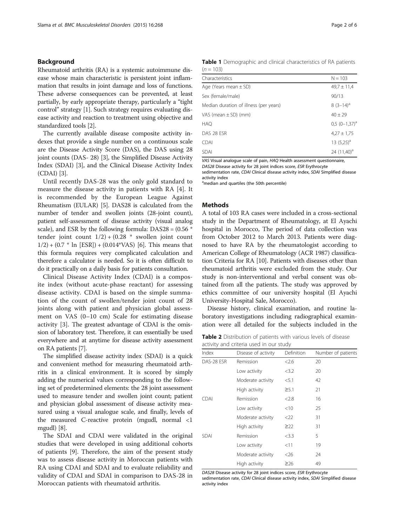# <span id="page-1-0"></span>Background

Rheumatoid arthritis (RA) is a systemic autoimmune disease whose main characteristic is persistent joint inflammation that results in joint damage and loss of functions. These adverse consequences can be prevented, at least partially, by early appropriate therapy, particularly a "tight control" strategy [\[1](#page-5-0)]. Such strategy requires evaluating disease activity and reaction to treatment using objective and standardized tools [\[2\]](#page-5-0).

The currently available disease composite activity indexes that provide a single number on a continuous scale are the Disease Activity Score (DAS), the DAS using 28 joint counts (DAS- 28) [\[3\]](#page-5-0), the Simplified Disease Activity Index (SDAI) [[3\]](#page-5-0), and the Clinical Disease Activity Index (CDAI) [\[3](#page-5-0)].

Until recently DAS-28 was the only gold standard to measure the disease activity in patients with RA [[4\]](#page-5-0). It is recommended by the European League Against Rheumatism (EULAR) [\[5\]](#page-5-0). DAS28 is calculated from the number of tender and swollen joints (28-joint count), patient self-assessment of disease activity (visual analog scale), and ESR by the following formula:  $DAS28 = (0.56 *$ tender joint count  $1/2$ ) + (0.28  $*$  swollen joint count  $1/2$ ) + (0.7  $*$  ln [ESR]) + (0.014 $*VAS$ ) [\[6](#page-5-0)]. This means that this formula requires very complicated calculation and therefore a calculator is needed. So it is often difficult to do it practically on a daily basis for patients consultation.

Clinical Disease Activity Index (CDAI) is a composite index (without acute-phase reactant) for assessing disease activity. CDAI is based on the simple summation of the count of swollen/tender joint count of 28 joints along with patient and physician global assessment on VAS (0–10 cm) Scale for estimating disease activity [[3\]](#page-5-0). The greatest advantage of CDAI is the omission of laboratory test. Therefore, it can essentially be used everywhere and at anytime for disease activity assessment on RA patients [\[7](#page-5-0)].

The simplified disease activity index (SDAI) is a quick and convenient method for measuring rheumatoid arthritis in a clinical environment. It is scored by simply adding the numerical values corresponding to the following set of predetermined elements: the 28 joint assessment used to measure tender and swollen joint count; patient and physician global assessment of disease activity measured using a visual analogue scale, and finally, levels of the measured C-reactive protein (mgudl, normal <1 mgudl) [\[8\]](#page-5-0).

The SDAI and CDAI were validated in the original studies that were developed in using additional cohorts of patients [\[9](#page-5-0)]. Therefore, the aim of the present study was to assess disease activity in Moroccan patients with RA using CDAI and SDAI and to evaluate reliability and validity of CDAI and SDAI in comparison to DAS-28 in Moroccan patients with rheumatoid arthritis.

| Table 1 Demographic and clinical characteristics of RA patients |  |  |  |
|-----------------------------------------------------------------|--|--|--|
| $(n = 103)$                                                     |  |  |  |

| Characteristics                        | $N = 103$       |
|----------------------------------------|-----------------|
| Age (Years mean $\pm$ SD)              | $49.7 \pm 11.4$ |
| Sex (female/male)                      | 90/13           |
| Median duration of illness (per years) | $8(3-14)^a$     |
| VAS (mean ± SD) (mm)                   | $40 \pm 29$     |
| HAQ                                    | $0.5(0-1.37)^a$ |
| DAS 28 ESR                             | $4,27 \pm 1,75$ |
| CDAI                                   | 13 $(5,25)^a$   |
| <b>SDAI</b>                            | 24 $(11,40)^a$  |

VAS Visual analogue scale of pain, HAQ Health assessment questionnaire, DAS28 Disease activity for 28 joint indices score, ESR Erythrocyte

sedimentation rate, CDAI Clinical disease activity index, SDAI Simplified disease activity index

amedian and quartiles (the 50th percentile)

# **Methods**

A total of 103 RA cases were included in a cross-sectional study in the Department of Rheumatology, at El Ayachi hospital in Morocco, The period of data collection was from October 2012 to March 2013. Patients were diagnosed to have RA by the rheumatologist according to American College of Rheumatology (ACR 1987) classification Criteria for RA [[10](#page-5-0)]. Patients with diseases other than rheumatoid arthritis were excluded from the study. Our study is non-interventional and verbal consent was obtained from all the patients. The study was approved by ethics committee of our university hospital (El Ayachi University-Hospital Sale, Morocco).

Disease history, clinical examination, and routine laboratory investigations including radiographical examination were all detailed for the subjects included in the

Table 2 Distribution of patients with various levels of disease activity and criteria used in our study

| Index       | Disease of activity | Definition | Number of patients |
|-------------|---------------------|------------|--------------------|
| DAS-28 ESR  | Remission           | <2.6       | 20                 |
|             | Low activity        | < 3.2      | 20                 |
|             | Moderate activity   | < 5.1      | 42                 |
|             | High activity       | $\geq 5.1$ | 21                 |
| <b>CDAI</b> | Remission           | < 2.8      | 16                 |
|             | Low activity        | $<$ 10     | 25                 |
|             | Moderate activity   | $<$ 22     | 31                 |
|             | High activity       | $\geq$ 22  | 31                 |
| <b>SDAI</b> | Remission           | $<$ 3.3    | 5                  |
|             | Low activity        | <11        | 19                 |
|             | Moderate activity   | <26        | 24                 |
|             | High activity       | $\geq$ 26  | 49                 |

DAS28 Disease activity for 28 joint indices score, ESR Erythrocyte sedimentation rate, CDAI Clinical disease activity index, SDAI Simplified disease activity index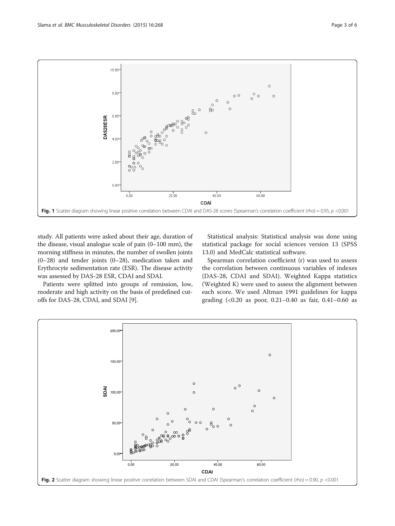

<span id="page-2-0"></span>

study. All patients were asked about their age, duration of the disease, visual analogue scale of pain (0–100 mm), the morning stiffness in minutes, the number of swollen joints (0–28) and tender joints (0–28), medication taken and Erythrocyte sedimentation rate (ESR). The disease activity was assessed by DAS-28 ESR, CDAI and SDAI.

Patients were splitted into groups of remission, low, moderate and high activity on the basis of predefined cutoffs for DAS-28, CDAI, and SDAI [[9\]](#page-5-0).

Statistical analysis: Statistical analysis was done using statistical package for social sciences version 13 (SPSS 13.0) and MedCalc statistical software.

Spearman correlation coefficient (r) was used to assess the correlation between continuous variables of indexes (DAS-28, CDAI and SDAI). Weighted Kappa statistics (Weighted K) were used to assess the alignment between each score. We used Altman 1991 guidelines for kappa grading (<0.20 as poor, 0.21–0.40 as fair, 0.41–0.60 as

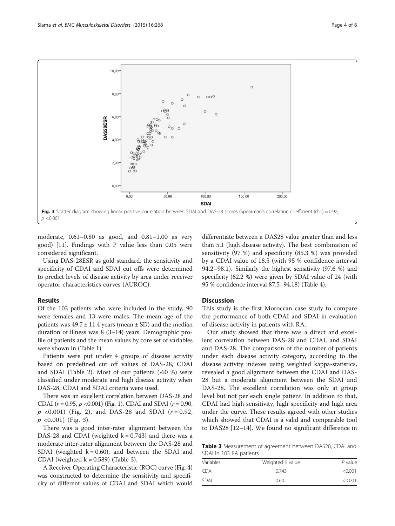

moderate, 0.61–0.80 as good, and 0.81–1.00 as very good) [\[11\]](#page-5-0). Findings with P value less than 0.05 were considered significant.

Using DAS-28ESR as gold standard, the sensitivity and specificity of CDAI and SDAI cut offs were determined to predict levels of disease activity by area under receiver operator characteristics curves (AUROC).

### Results

Of the 103 patients who were included in the study, 90 were females and 13 were males. The mean age of the patients was  $49.7 \pm 11.4$  years (mean  $\pm$  SD) and the median duration of illness was 8 (3–14) years. Demographic profile of patients and the mean values by core set of variables were shown in (Table [1\)](#page-1-0).

Patients were put under 4 groups of disease activity based on predefined cut off values of DAS-28, CDAI and SDAI (Table [2](#page-1-0)). Most of our patients  $(60\%)$  were classified under moderate and high disease activity when DAS-28, CDAI and SDAI criteria were used.

There was an excellent correlation between DAS-28 and CDAI ( $r = 0.95$ ,  $p < 0.001$ ) (Fig. [1\)](#page-2-0), CDAI and SDAI ( $r = 0.90$ ,  $p \leq 0.001$ ) (Fig. [2](#page-2-0)), and DAS-28 and SDAI ( $r = 0.92$ ,  $p \leq 0.001$  (Fig. 3).

There was a good inter-rater alignment between the DAS-28 and CDAI (weighted  $k = 0.743$ ) and there was a moderate inter-rater alignment between the DAS-28 and SDAI (weighted  $k = 0.60$ ), and between the SDAI and CDAI (weighted  $k = 0.589$ ) (Table 3).

A Receiver Operating Characteristic (ROC) curve (Fig. [4](#page-4-0)) was constructed to determine the sensitivity and specificity of different values of CDAI and SDAI which would differentiate between a DAS28 value greater than and less than 5.1 (high disease activity). The best combination of sensitivity (97 %) and specificity (85.3 %) was provided by a CDAI value of 18.5 (with 95 % confidence interval 94.2–98.1). Similarly the highest sensitivity (97.6 %) and specificity (62.2 %) were given by SDAI value of 24 (with 95 % confidence interval 87.5–94.18) (Table [4](#page-4-0)).

# Discussion

This study is the first Moroccan case study to compare the performance of both CDAI and SDAI in evaluation of disease activity in patients with RA.

Our study showed that there was a direct and excellent correlation between DAS-28 and CDAI, and SDAI and DAS-28. The comparison of the number of patients under each disease activity category, according to the disease activity indexes using weighted kappa-statistics, revealed a good alignment between the CDAI and DAS-28 but a moderate alignment between the SDAI and DAS-28. The excellent correlation was only at group level but not per each single patient. In addition to that, CDAI had high sensitivity, high specificity and high area under the curve. These results agreed with other studies which showed that CDAI is a valid and comparable tool to DAS28 [\[12](#page-5-0)–[14\]](#page-5-0). We found no significant difference in

Table 3 Measurement of agreement between DAS28, CDAI and SDAI in 103 RA patients

| Variables   | Weighted K value | P value |  |
|-------------|------------------|---------|--|
| CDAI        | 0.743            | < 0.001 |  |
| <b>SDAI</b> | 0.60             | < 0.001 |  |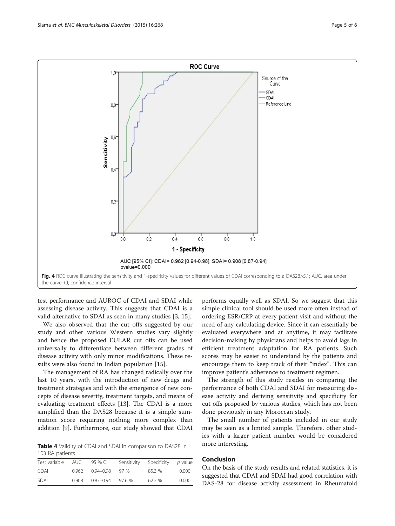<span id="page-4-0"></span>

test performance and AUROC of CDAI and SDAI while assessing disease activity. This suggests that CDAI is a valid alternative to SDAI as seen in many studies [[3, 15](#page-5-0)].

We also observed that the cut offs suggested by our study and other various Western studies vary slightly and hence the proposed EULAR cut offs can be used universally to differentiate between different grades of disease activity with only minor modifications. These results were also found in Indian population [[15](#page-5-0)].

The management of RA has changed radically over the last 10 years, with the introduction of new drugs and treatment strategies and with the emergence of new concepts of disease severity, treatment targets, and means of evaluating treatment effects [[13\]](#page-5-0). The CDAI is a more simplified than the DAS28 because it is a simple summation score requiring nothing more complex than addition [\[9](#page-5-0)]. Furthermore, our study showed that CDAI

Table 4 Validity of CDAI and SDAI in comparison to DAS28 in 103 RA patients

| Test variable | auc   | 95 % CI               | Sensitivity | Specificity | <i>p</i> value |
|---------------|-------|-----------------------|-------------|-------------|----------------|
| <b>CDAI</b>   |       | $0.962$ $0.94 - 0.98$ | - 97 %      | 85.3%       | 0.000          |
| <b>SDAI</b>   | 0.908 | 0.87-0.94             | 97.6 %      | 62.2%       | 0.000          |

performs equally well as SDAI. So we suggest that this simple clinical tool should be used more often instead of ordering ESR/CRP at every patient visit and without the need of any calculating device. Since it can essentially be evaluated everywhere and at anytime, it may facilitate decision-making by physicians and helps to avoid lags in efficient treatment adaptation for RA patients. Such scores may be easier to understand by the patients and encourage them to keep track of their "index". This can improve patient's adherence to treatment regimen.

The strength of this study resides in comparing the performance of both CDAI and SDAI for measuring disease activity and deriving sensitivity and specificity for cut offs proposed by various studies, which has not been done previously in any Moroccan study.

The small number of patients included in our study may be seen as a limited sample. Therefore, other studies with a larger patient number would be considered more interesting.

# Conclusion

On the basis of the study results and related statistics, it is suggested that CDAI and SDAI had good correlation with DAS-28 for disease activity assessment in Rheumatoid